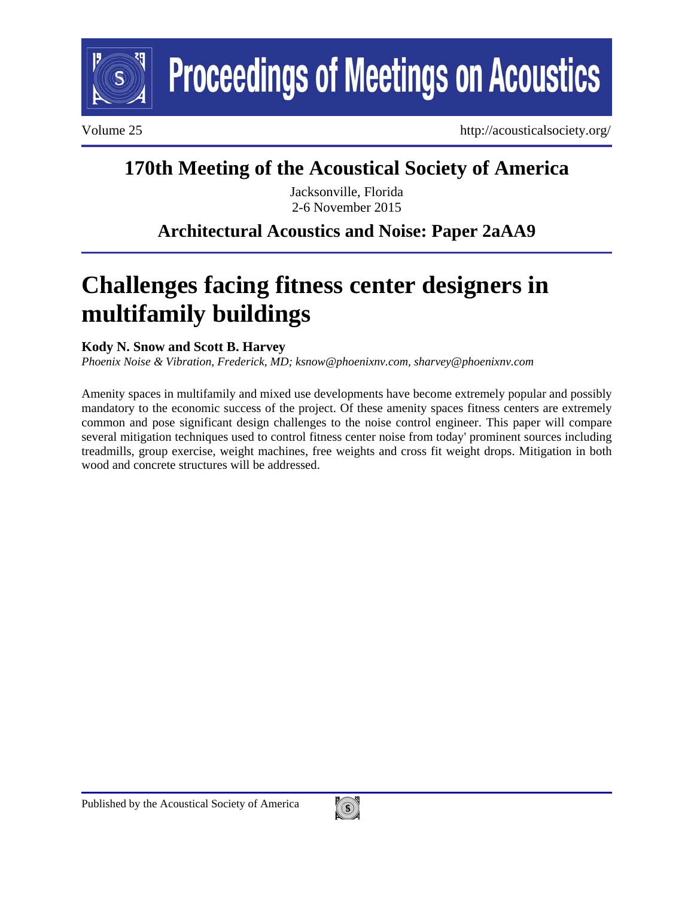

**Proceedings of Meetings on Acoustics** 

Volume 25 http://acousticalsociety.org/

# **170th Meeting of the Acoustical Society of America**

Jacksonville, Florida 2-6 November 2015

# **Architectural Acoustics and Noise: Paper 2aAA9**

# **Challenges facing fitness center designers in multifamily buildings**

## **Kody N. Snow and Scott B. Harvey**

*Phoenix Noise & Vibration, Frederick, MD; ksnow@phoenixnv.com, sharvey@phoenixnv.com* 

Amenity spaces in multifamily and mixed use developments have become extremely popular and possibly mandatory to the economic success of the project. Of these amenity spaces fitness centers are extremely common and pose significant design challenges to the noise control engineer. This paper will compare several mitigation techniques used to control fitness center noise from today' prominent sources including treadmills, group exercise, weight machines, free weights and cross fit weight drops. Mitigation in both wood and concrete structures will be addressed.

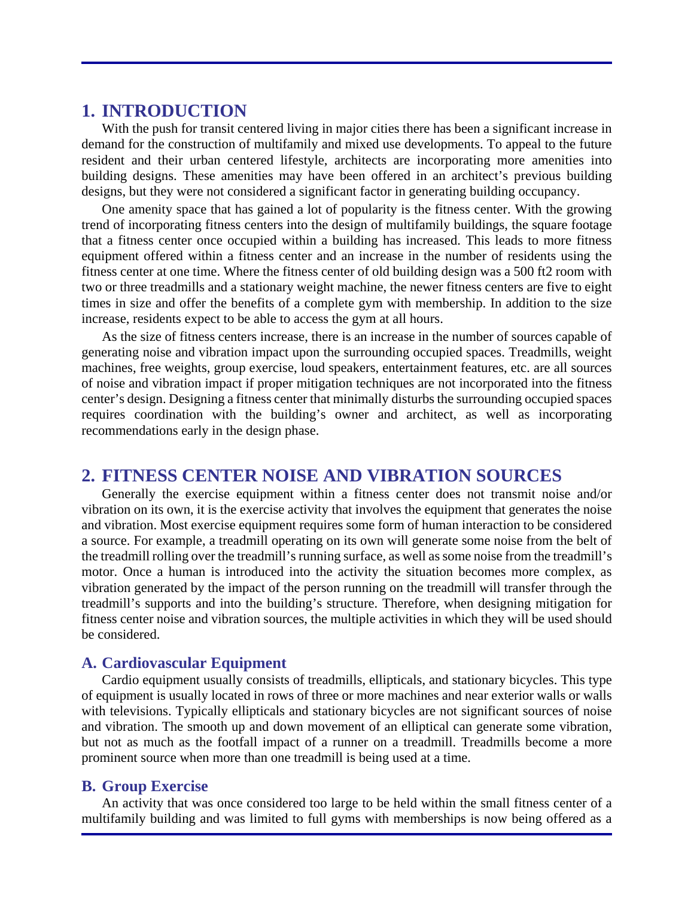## **1. INTRODUCTION**

With the push for transit centered living in major cities there has been a significant increase in demand for the construction of multifamily and mixed use developments. To appeal to the future resident and their urban centered lifestyle, architects are incorporating more amenities into building designs. These amenities may have been offered in an architect's previous building designs, but they were not considered a significant factor in generating building occupancy.

One amenity space that has gained a lot of popularity is the fitness center. With the growing trend of incorporating fitness centers into the design of multifamily buildings, the square footage that a fitness center once occupied within a building has increased. This leads to more fitness equipment offered within a fitness center and an increase in the number of residents using the fitness center at one time. Where the fitness center of old building design was a 500 ft2 room with two or three treadmills and a stationary weight machine, the newer fitness centers are five to eight times in size and offer the benefits of a complete gym with membership. In addition to the size increase, residents expect to be able to access the gym at all hours.

As the size of fitness centers increase, there is an increase in the number of sources capable of generating noise and vibration impact upon the surrounding occupied spaces. Treadmills, weight machines, free weights, group exercise, loud speakers, entertainment features, etc. are all sources of noise and vibration impact if proper mitigation techniques are not incorporated into the fitness center's design. Designing a fitness center that minimally disturbs the surrounding occupied spaces requires coordination with the building's owner and architect, as well as incorporating recommendations early in the design phase.

## **2. FITNESS CENTER NOISE AND VIBRATION SOURCES**

Generally the exercise equipment within a fitness center does not transmit noise and/or vibration on its own, it is the exercise activity that involves the equipment that generates the noise and vibration. Most exercise equipment requires some form of human interaction to be considered a source. For example, a treadmill operating on its own will generate some noise from the belt of the treadmill rolling over the treadmill's running surface, as well as some noise from the treadmill's motor. Once a human is introduced into the activity the situation becomes more complex, as vibration generated by the impact of the person running on the treadmill will transfer through the treadmill's supports and into the building's structure. Therefore, when designing mitigation for fitness center noise and vibration sources, the multiple activities in which they will be used should be considered.

#### **A. Cardiovascular Equipment**

Cardio equipment usually consists of treadmills, ellipticals, and stationary bicycles. This type of equipment is usually located in rows of three or more machines and near exterior walls or walls with televisions. Typically ellipticals and stationary bicycles are not significant sources of noise and vibration. The smooth up and down movement of an elliptical can generate some vibration, but not as much as the footfall impact of a runner on a treadmill. Treadmills become a more prominent source when more than one treadmill is being used at a time.

#### **B. Group Exercise**

An activity that was once considered too large to be held within the small fitness center of a multifamily building and was limited to full gyms with memberships is now being offered as a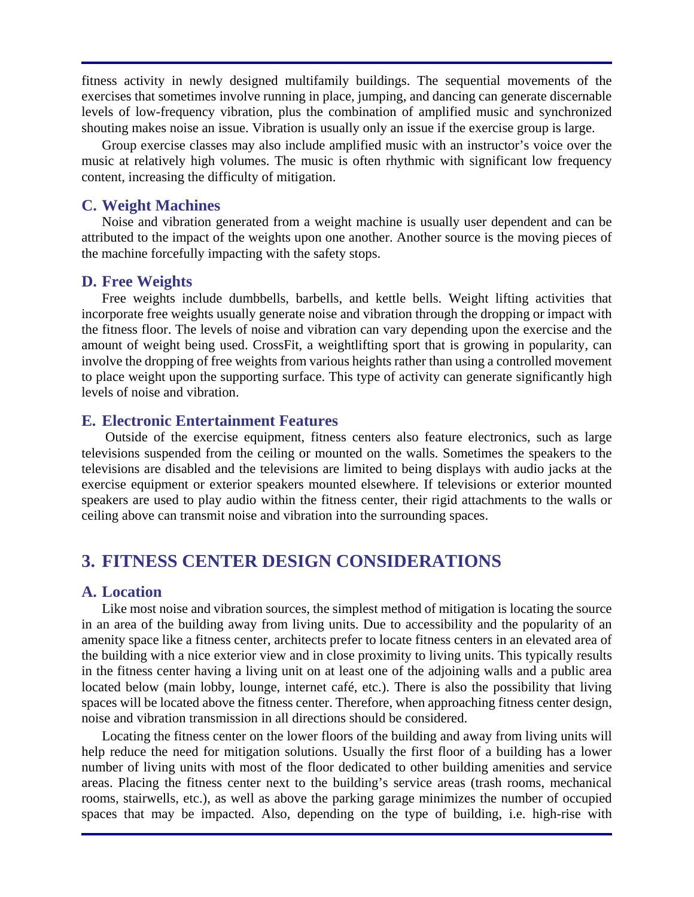fitness activity in newly designed multifamily buildings. The sequential movements of the exercises that sometimes involve running in place, jumping, and dancing can generate discernable levels of low-frequency vibration, plus the combination of amplified music and synchronized shouting makes noise an issue. Vibration is usually only an issue if the exercise group is large.

Group exercise classes may also include amplified music with an instructor's voice over the music at relatively high volumes. The music is often rhythmic with significant low frequency content, increasing the difficulty of mitigation.

#### **C. Weight Machines**

Noise and vibration generated from a weight machine is usually user dependent and can be attributed to the impact of the weights upon one another. Another source is the moving pieces of the machine forcefully impacting with the safety stops.

#### **D. Free Weights**

Free weights include dumbbells, barbells, and kettle bells. Weight lifting activities that incorporate free weights usually generate noise and vibration through the dropping or impact with the fitness floor. The levels of noise and vibration can vary depending upon the exercise and the amount of weight being used. CrossFit, a weightlifting sport that is growing in popularity, can involve the dropping of free weights from various heights rather than using a controlled movement to place weight upon the supporting surface. This type of activity can generate significantly high levels of noise and vibration.

#### **E. Electronic Entertainment Features**

 Outside of the exercise equipment, fitness centers also feature electronics, such as large televisions suspended from the ceiling or mounted on the walls. Sometimes the speakers to the televisions are disabled and the televisions are limited to being displays with audio jacks at the exercise equipment or exterior speakers mounted elsewhere. If televisions or exterior mounted speakers are used to play audio within the fitness center, their rigid attachments to the walls or ceiling above can transmit noise and vibration into the surrounding spaces.

# **3. FITNESS CENTER DESIGN CONSIDERATIONS**

#### **A. Location**

Like most noise and vibration sources, the simplest method of mitigation is locating the source in an area of the building away from living units. Due to accessibility and the popularity of an amenity space like a fitness center, architects prefer to locate fitness centers in an elevated area of the building with a nice exterior view and in close proximity to living units. This typically results in the fitness center having a living unit on at least one of the adjoining walls and a public area located below (main lobby, lounge, internet café, etc.). There is also the possibility that living spaces will be located above the fitness center. Therefore, when approaching fitness center design, noise and vibration transmission in all directions should be considered.

Locating the fitness center on the lower floors of the building and away from living units will help reduce the need for mitigation solutions. Usually the first floor of a building has a lower number of living units with most of the floor dedicated to other building amenities and service areas. Placing the fitness center next to the building's service areas (trash rooms, mechanical rooms, stairwells, etc.), as well as above the parking garage minimizes the number of occupied spaces that may be impacted. Also, depending on the type of building, i.e. high-rise with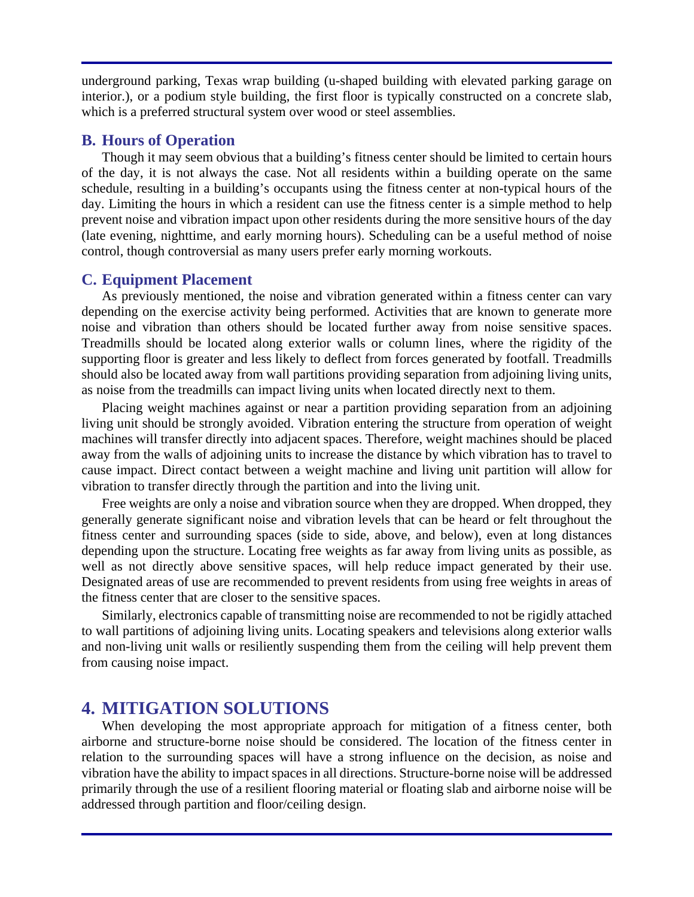underground parking, Texas wrap building (u-shaped building with elevated parking garage on interior.), or a podium style building, the first floor is typically constructed on a concrete slab, which is a preferred structural system over wood or steel assemblies.

#### **B. Hours of Operation**

Though it may seem obvious that a building's fitness center should be limited to certain hours of the day, it is not always the case. Not all residents within a building operate on the same schedule, resulting in a building's occupants using the fitness center at non-typical hours of the day. Limiting the hours in which a resident can use the fitness center is a simple method to help prevent noise and vibration impact upon other residents during the more sensitive hours of the day (late evening, nighttime, and early morning hours). Scheduling can be a useful method of noise control, though controversial as many users prefer early morning workouts.

#### **C. Equipment Placement**

As previously mentioned, the noise and vibration generated within a fitness center can vary depending on the exercise activity being performed. Activities that are known to generate more noise and vibration than others should be located further away from noise sensitive spaces. Treadmills should be located along exterior walls or column lines, where the rigidity of the supporting floor is greater and less likely to deflect from forces generated by footfall. Treadmills should also be located away from wall partitions providing separation from adjoining living units, as noise from the treadmills can impact living units when located directly next to them.

Placing weight machines against or near a partition providing separation from an adjoining living unit should be strongly avoided. Vibration entering the structure from operation of weight machines will transfer directly into adjacent spaces. Therefore, weight machines should be placed away from the walls of adjoining units to increase the distance by which vibration has to travel to cause impact. Direct contact between a weight machine and living unit partition will allow for vibration to transfer directly through the partition and into the living unit.

Free weights are only a noise and vibration source when they are dropped. When dropped, they generally generate significant noise and vibration levels that can be heard or felt throughout the fitness center and surrounding spaces (side to side, above, and below), even at long distances depending upon the structure. Locating free weights as far away from living units as possible, as well as not directly above sensitive spaces, will help reduce impact generated by their use. Designated areas of use are recommended to prevent residents from using free weights in areas of the fitness center that are closer to the sensitive spaces.

Similarly, electronics capable of transmitting noise are recommended to not be rigidly attached to wall partitions of adjoining living units. Locating speakers and televisions along exterior walls and non-living unit walls or resiliently suspending them from the ceiling will help prevent them from causing noise impact.

# **4. MITIGATION SOLUTIONS**

When developing the most appropriate approach for mitigation of a fitness center, both airborne and structure-borne noise should be considered. The location of the fitness center in relation to the surrounding spaces will have a strong influence on the decision, as noise and vibration have the ability to impact spaces in all directions. Structure-borne noise will be addressed primarily through the use of a resilient flooring material or floating slab and airborne noise will be addressed through partition and floor/ceiling design.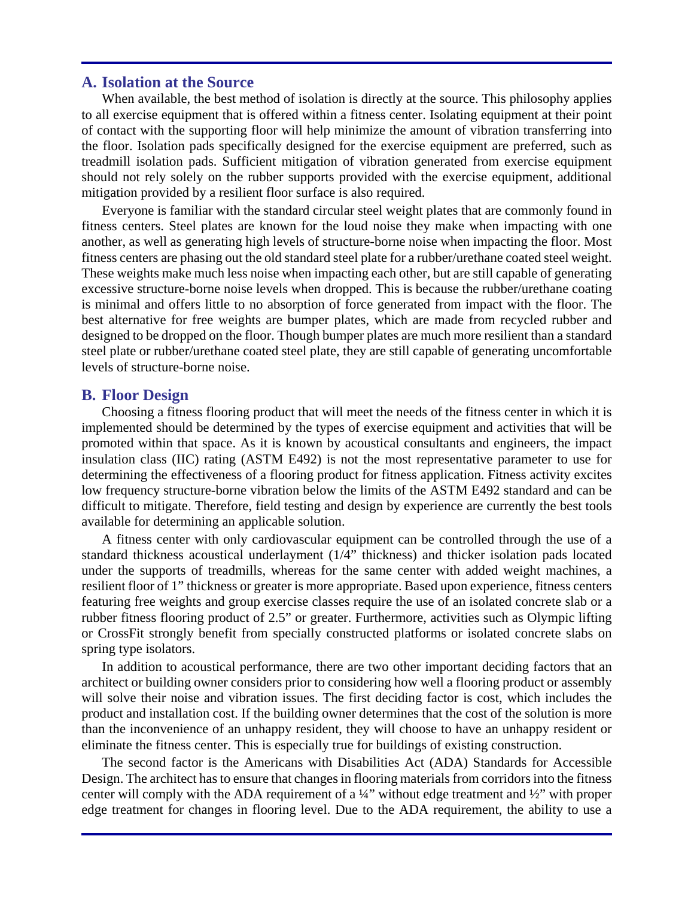#### **A. Isolation at the Source**

When available, the best method of isolation is directly at the source. This philosophy applies to all exercise equipment that is offered within a fitness center. Isolating equipment at their point of contact with the supporting floor will help minimize the amount of vibration transferring into the floor. Isolation pads specifically designed for the exercise equipment are preferred, such as treadmill isolation pads. Sufficient mitigation of vibration generated from exercise equipment should not rely solely on the rubber supports provided with the exercise equipment, additional mitigation provided by a resilient floor surface is also required.

Everyone is familiar with the standard circular steel weight plates that are commonly found in fitness centers. Steel plates are known for the loud noise they make when impacting with one another, as well as generating high levels of structure-borne noise when impacting the floor. Most fitness centers are phasing out the old standard steel plate for a rubber/urethane coated steel weight. These weights make much less noise when impacting each other, but are still capable of generating excessive structure-borne noise levels when dropped. This is because the rubber/urethane coating is minimal and offers little to no absorption of force generated from impact with the floor. The best alternative for free weights are bumper plates, which are made from recycled rubber and designed to be dropped on the floor. Though bumper plates are much more resilient than a standard steel plate or rubber/urethane coated steel plate, they are still capable of generating uncomfortable levels of structure-borne noise.

#### **B. Floor Design**

Choosing a fitness flooring product that will meet the needs of the fitness center in which it is implemented should be determined by the types of exercise equipment and activities that will be promoted within that space. As it is known by acoustical consultants and engineers, the impact insulation class (IIC) rating (ASTM E492) is not the most representative parameter to use for determining the effectiveness of a flooring product for fitness application. Fitness activity excites low frequency structure-borne vibration below the limits of the ASTM E492 standard and can be difficult to mitigate. Therefore, field testing and design by experience are currently the best tools available for determining an applicable solution.

A fitness center with only cardiovascular equipment can be controlled through the use of a standard thickness acoustical underlayment (1/4" thickness) and thicker isolation pads located under the supports of treadmills, whereas for the same center with added weight machines, a resilient floor of 1" thickness or greater is more appropriate. Based upon experience, fitness centers featuring free weights and group exercise classes require the use of an isolated concrete slab or a rubber fitness flooring product of 2.5" or greater. Furthermore, activities such as Olympic lifting or CrossFit strongly benefit from specially constructed platforms or isolated concrete slabs on spring type isolators.

In addition to acoustical performance, there are two other important deciding factors that an architect or building owner considers prior to considering how well a flooring product or assembly will solve their noise and vibration issues. The first deciding factor is cost, which includes the product and installation cost. If the building owner determines that the cost of the solution is more than the inconvenience of an unhappy resident, they will choose to have an unhappy resident or eliminate the fitness center. This is especially true for buildings of existing construction.

The second factor is the Americans with Disabilities Act (ADA) Standards for Accessible Design. The architect has to ensure that changes in flooring materials from corridors into the fitness center will comply with the ADA requirement of a ¼" without edge treatment and ½" with proper edge treatment for changes in flooring level. Due to the ADA requirement, the ability to use a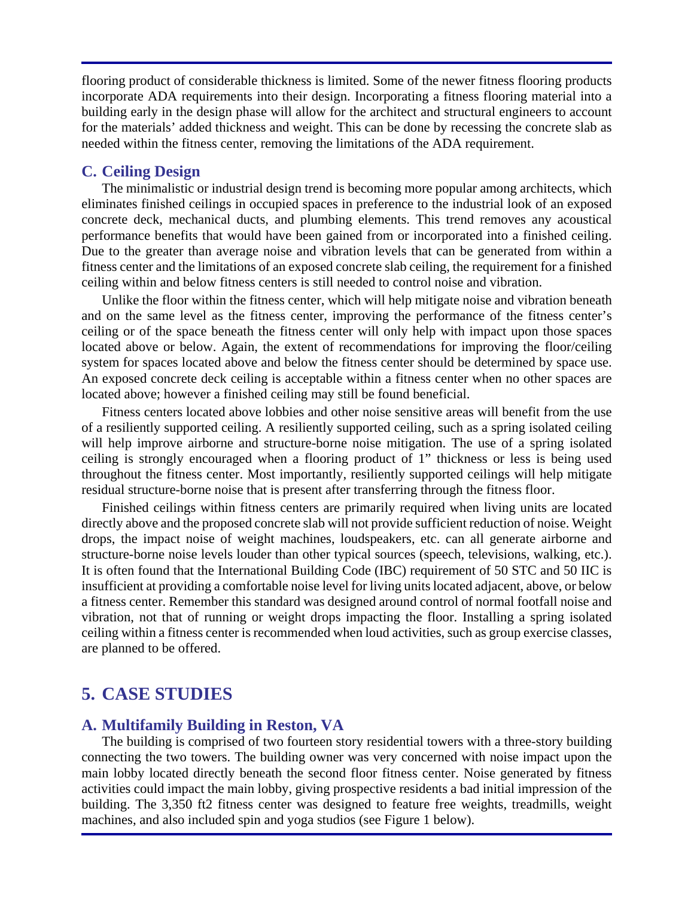flooring product of considerable thickness is limited. Some of the newer fitness flooring products incorporate ADA requirements into their design. Incorporating a fitness flooring material into a building early in the design phase will allow for the architect and structural engineers to account for the materials' added thickness and weight. This can be done by recessing the concrete slab as needed within the fitness center, removing the limitations of the ADA requirement.

#### **C. Ceiling Design**

The minimalistic or industrial design trend is becoming more popular among architects, which eliminates finished ceilings in occupied spaces in preference to the industrial look of an exposed concrete deck, mechanical ducts, and plumbing elements. This trend removes any acoustical performance benefits that would have been gained from or incorporated into a finished ceiling. Due to the greater than average noise and vibration levels that can be generated from within a fitness center and the limitations of an exposed concrete slab ceiling, the requirement for a finished ceiling within and below fitness centers is still needed to control noise and vibration.

Unlike the floor within the fitness center, which will help mitigate noise and vibration beneath and on the same level as the fitness center, improving the performance of the fitness center's ceiling or of the space beneath the fitness center will only help with impact upon those spaces located above or below. Again, the extent of recommendations for improving the floor/ceiling system for spaces located above and below the fitness center should be determined by space use. An exposed concrete deck ceiling is acceptable within a fitness center when no other spaces are located above; however a finished ceiling may still be found beneficial.

Fitness centers located above lobbies and other noise sensitive areas will benefit from the use of a resiliently supported ceiling. A resiliently supported ceiling, such as a spring isolated ceiling will help improve airborne and structure-borne noise mitigation. The use of a spring isolated ceiling is strongly encouraged when a flooring product of 1" thickness or less is being used throughout the fitness center. Most importantly, resiliently supported ceilings will help mitigate residual structure-borne noise that is present after transferring through the fitness floor.

Finished ceilings within fitness centers are primarily required when living units are located directly above and the proposed concrete slab will not provide sufficient reduction of noise. Weight drops, the impact noise of weight machines, loudspeakers, etc. can all generate airborne and structure-borne noise levels louder than other typical sources (speech, televisions, walking, etc.). It is often found that the International Building Code (IBC) requirement of 50 STC and 50 IIC is insufficient at providing a comfortable noise level for living units located adjacent, above, or below a fitness center. Remember this standard was designed around control of normal footfall noise and vibration, not that of running or weight drops impacting the floor. Installing a spring isolated ceiling within a fitness center is recommended when loud activities, such as group exercise classes, are planned to be offered.

# **5. CASE STUDIES**

#### **A. Multifamily Building in Reston, VA**

The building is comprised of two fourteen story residential towers with a three-story building connecting the two towers. The building owner was very concerned with noise impact upon the main lobby located directly beneath the second floor fitness center. Noise generated by fitness activities could impact the main lobby, giving prospective residents a bad initial impression of the building. The 3,350 ft2 fitness center was designed to feature free weights, treadmills, weight machines, and also included spin and yoga studios (see Figure 1 below).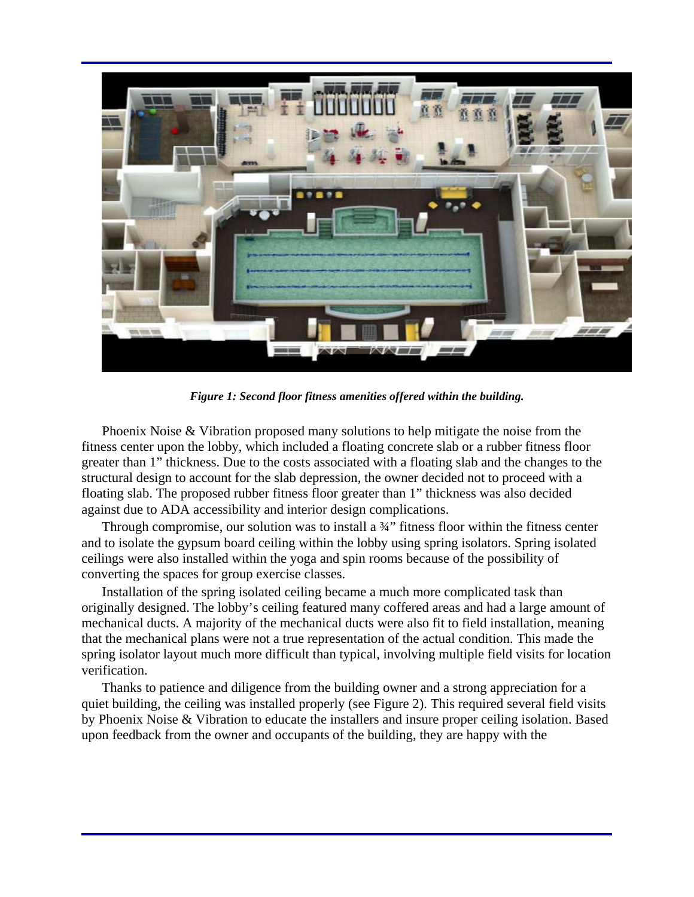

*Figure 1: Second floor fitness amenities offered within the building.* 

Phoenix Noise & Vibration proposed many solutions to help mitigate the noise from the fitness center upon the lobby, which included a floating concrete slab or a rubber fitness floor greater than 1" thickness. Due to the costs associated with a floating slab and the changes to the structural design to account for the slab depression, the owner decided not to proceed with a floating slab. The proposed rubber fitness floor greater than 1" thickness was also decided against due to ADA accessibility and interior design complications.

Through compromise, our solution was to install a ¾" fitness floor within the fitness center and to isolate the gypsum board ceiling within the lobby using spring isolators. Spring isolated ceilings were also installed within the yoga and spin rooms because of the possibility of converting the spaces for group exercise classes.

Installation of the spring isolated ceiling became a much more complicated task than originally designed. The lobby's ceiling featured many coffered areas and had a large amount of mechanical ducts. A majority of the mechanical ducts were also fit to field installation, meaning that the mechanical plans were not a true representation of the actual condition. This made the spring isolator layout much more difficult than typical, involving multiple field visits for location verification.

Thanks to patience and diligence from the building owner and a strong appreciation for a quiet building, the ceiling was installed properly (see Figure 2). This required several field visits by Phoenix Noise & Vibration to educate the installers and insure proper ceiling isolation. Based upon feedback from the owner and occupants of the building, they are happy with the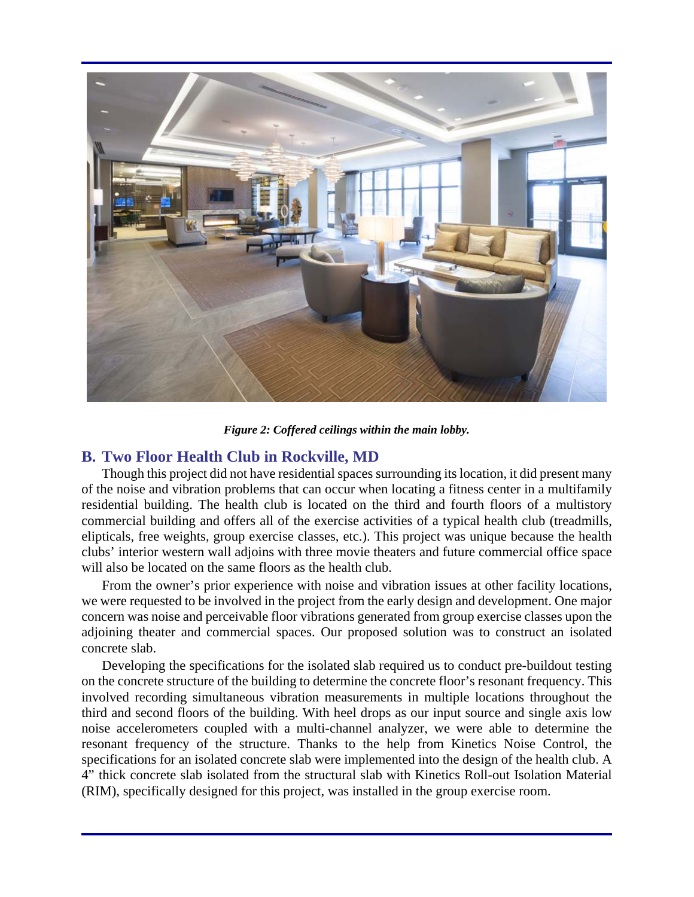

*Figure 2: Coffered ceilings within the main lobby.* 

#### **B. Two Floor Health Club in Rockville, MD**

Though this project did not have residential spaces surrounding its location, it did present many of the noise and vibration problems that can occur when locating a fitness center in a multifamily residential building. The health club is located on the third and fourth floors of a multistory commercial building and offers all of the exercise activities of a typical health club (treadmills, elipticals, free weights, group exercise classes, etc.). This project was unique because the health clubs' interior western wall adjoins with three movie theaters and future commercial office space will also be located on the same floors as the health club.

From the owner's prior experience with noise and vibration issues at other facility locations, we were requested to be involved in the project from the early design and development. One major concern was noise and perceivable floor vibrations generated from group exercise classes upon the adjoining theater and commercial spaces. Our proposed solution was to construct an isolated concrete slab.

Developing the specifications for the isolated slab required us to conduct pre-buildout testing on the concrete structure of the building to determine the concrete floor's resonant frequency. This involved recording simultaneous vibration measurements in multiple locations throughout the third and second floors of the building. With heel drops as our input source and single axis low noise accelerometers coupled with a multi-channel analyzer, we were able to determine the resonant frequency of the structure. Thanks to the help from Kinetics Noise Control, the specifications for an isolated concrete slab were implemented into the design of the health club. A 4" thick concrete slab isolated from the structural slab with Kinetics Roll-out Isolation Material (RIM), specifically designed for this project, was installed in the group exercise room.